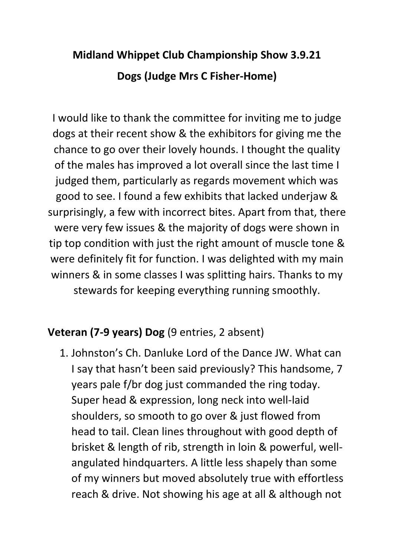# **Midland Whippet Club Championship Show 3.9.21 Dogs (Judge Mrs C Fisher-Home)**

I would like to thank the committee for inviting me to judge dogs at their recent show & the exhibitors for giving me the chance to go over their lovely hounds. I thought the quality of the males has improved a lot overall since the last time I judged them, particularly as regards movement which was good to see. I found a few exhibits that lacked underjaw & surprisingly, a few with incorrect bites. Apart from that, there were very few issues & the majority of dogs were shown in tip top condition with just the right amount of muscle tone & were definitely fit for function. I was delighted with my main winners & in some classes I was splitting hairs. Thanks to my stewards for keeping everything running smoothly.

#### **Veteran (7-9 years) Dog** (9 entries, 2 absent)

1. Johnston's Ch. Danluke Lord of the Dance JW. What can I say that hasn't been said previously? This handsome, 7 years pale f/br dog just commanded the ring today. Super head & expression, long neck into well-laid shoulders, so smooth to go over & just flowed from head to tail. Clean lines throughout with good depth of brisket & length of rib, strength in loin & powerful, wellangulated hindquarters. A little less shapely than some of my winners but moved absolutely true with effortless reach & drive. Not showing his age at all & although not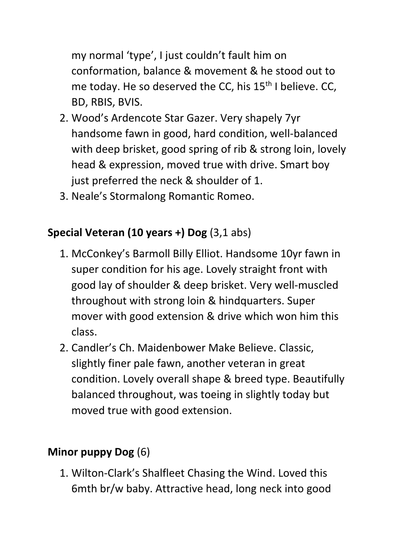my normal 'type', I just couldn't fault him on conformation, balance & movement & he stood out to me today. He so deserved the CC, his 15<sup>th</sup> I believe. CC, BD, RBIS, BVIS.

- 2. Wood's Ardencote Star Gazer. Very shapely 7yr handsome fawn in good, hard condition, well-balanced with deep brisket, good spring of rib & strong loin, lovely head & expression, moved true with drive. Smart boy just preferred the neck & shoulder of 1.
- 3. Neale's Stormalong Romantic Romeo.

## **Special Veteran (10 years +) Dog** (3,1 abs)

- 1. McConkey's Barmoll Billy Elliot. Handsome 10yr fawn in super condition for his age. Lovely straight front with good lay of shoulder & deep brisket. Very well-muscled throughout with strong loin & hindquarters. Super mover with good extension & drive which won him this class.
- 2. Candler's Ch. Maidenbower Make Believe. Classic, slightly finer pale fawn, another veteran in great condition. Lovely overall shape & breed type. Beautifully balanced throughout, was toeing in slightly today but moved true with good extension.

## **Minor puppy Dog** (6)

1. Wilton-Clark's Shalfleet Chasing the Wind. Loved this 6mth br/w baby. Attractive head, long neck into good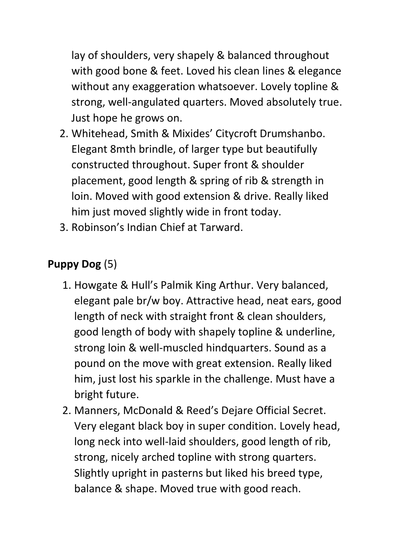lay of shoulders, very shapely & balanced throughout with good bone & feet. Loved his clean lines & elegance without any exaggeration whatsoever. Lovely topline & strong, well-angulated quarters. Moved absolutely true. Just hope he grows on.

- 2. Whitehead, Smith & Mixides' Citycroft Drumshanbo. Elegant 8mth brindle, of larger type but beautifully constructed throughout. Super front & shoulder placement, good length & spring of rib & strength in loin. Moved with good extension & drive. Really liked him just moved slightly wide in front today.
- 3. Robinson's Indian Chief at Tarward.

# **Puppy Dog** (5)

- 1. Howgate & Hull's Palmik King Arthur. Very balanced, elegant pale br/w boy. Attractive head, neat ears, good length of neck with straight front & clean shoulders, good length of body with shapely topline & underline, strong loin & well-muscled hindquarters. Sound as a pound on the move with great extension. Really liked him, just lost his sparkle in the challenge. Must have a bright future.
- 2. Manners, McDonald & Reed's Dejare Official Secret. Very elegant black boy in super condition. Lovely head, long neck into well-laid shoulders, good length of rib, strong, nicely arched topline with strong quarters. Slightly upright in pasterns but liked his breed type, balance & shape. Moved true with good reach.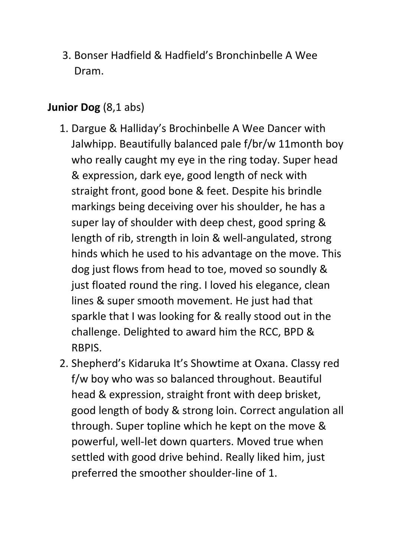3. Bonser Hadfield & Hadfield's Bronchinbelle A Wee Dram.

#### **Junior Dog** (8,1 abs)

- 1. Dargue & Halliday's Brochinbelle A Wee Dancer with Jalwhipp. Beautifully balanced pale f/br/w 11month boy who really caught my eye in the ring today. Super head & expression, dark eye, good length of neck with straight front, good bone & feet. Despite his brindle markings being deceiving over his shoulder, he has a super lay of shoulder with deep chest, good spring & length of rib, strength in loin & well-angulated, strong hinds which he used to his advantage on the move. This dog just flows from head to toe, moved so soundly & just floated round the ring. I loved his elegance, clean lines & super smooth movement. He just had that sparkle that I was looking for & really stood out in the challenge. Delighted to award him the RCC, BPD & RBPIS.
- 2. Shepherd's Kidaruka It's Showtime at Oxana. Classy red f/w boy who was so balanced throughout. Beautiful head & expression, straight front with deep brisket, good length of body & strong loin. Correct angulation all through. Super topline which he kept on the move & powerful, well-let down quarters. Moved true when settled with good drive behind. Really liked him, just preferred the smoother shoulder-line of 1.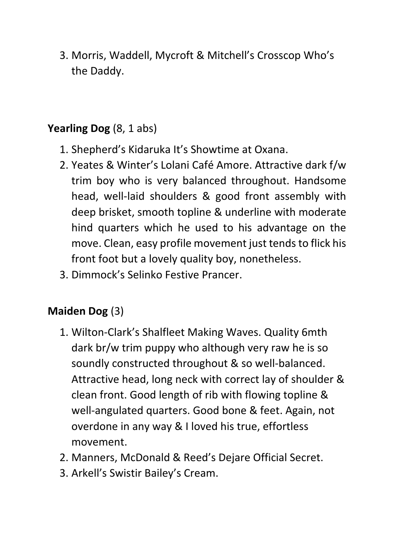3. Morris, Waddell, Mycroft & Mitchell's Crosscop Who's the Daddy.

#### **Yearling Dog** (8, 1 abs)

- 1. Shepherd's Kidaruka It's Showtime at Oxana.
- 2. Yeates & Winter's Lolani Café Amore. Attractive dark f/w trim boy who is very balanced throughout. Handsome head, well-laid shoulders & good front assembly with deep brisket, smooth topline & underline with moderate hind quarters which he used to his advantage on the move. Clean, easy profile movement just tends to flick his front foot but a lovely quality boy, nonetheless.
- 3. Dimmock's Selinko Festive Prancer.

## **Maiden Dog** (3)

- 1. Wilton-Clark's Shalfleet Making Waves. Quality 6mth dark br/w trim puppy who although very raw he is so soundly constructed throughout & so well-balanced. Attractive head, long neck with correct lay of shoulder & clean front. Good length of rib with flowing topline & well-angulated quarters. Good bone & feet. Again, not overdone in any way & I loved his true, effortless movement.
- 2. Manners, McDonald & Reed's Dejare Official Secret.
- 3. Arkell's Swistir Bailey's Cream.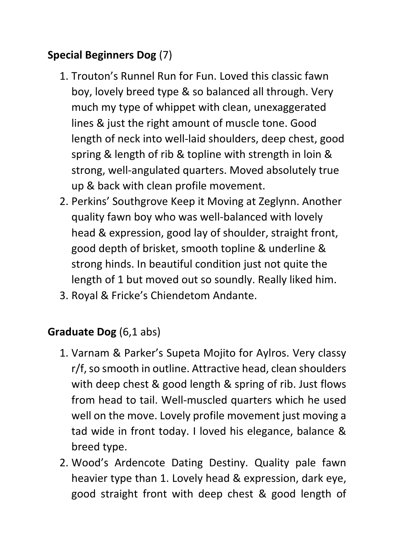# **Special Beginners Dog** (7)

- 1. Trouton's Runnel Run for Fun. Loved this classic fawn boy, lovely breed type & so balanced all through. Very much my type of whippet with clean, unexaggerated lines & just the right amount of muscle tone. Good length of neck into well-laid shoulders, deep chest, good spring & length of rib & topline with strength in loin & strong, well-angulated quarters. Moved absolutely true up & back with clean profile movement.
- 2. Perkins' Southgrove Keep it Moving at Zeglynn. Another quality fawn boy who was well-balanced with lovely head & expression, good lay of shoulder, straight front, good depth of brisket, smooth topline & underline & strong hinds. In beautiful condition just not quite the length of 1 but moved out so soundly. Really liked him.
- 3. Royal & Fricke's Chiendetom Andante.

## **Graduate Dog** (6,1 abs)

- 1. Varnam & Parker's Supeta Mojito for Aylros. Very classy r/f, so smooth in outline. Attractive head, clean shoulders with deep chest & good length & spring of rib. Just flows from head to tail. Well-muscled quarters which he used well on the move. Lovely profile movement just moving a tad wide in front today. I loved his elegance, balance & breed type.
- 2. Wood's Ardencote Dating Destiny. Quality pale fawn heavier type than 1. Lovely head & expression, dark eye, good straight front with deep chest & good length of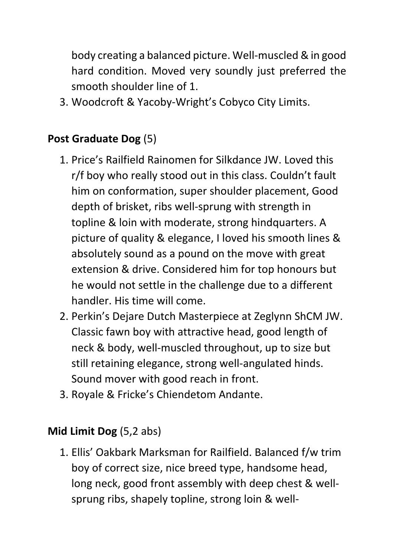body creating a balanced picture. Well-muscled & in good hard condition. Moved very soundly just preferred the smooth shoulder line of 1.

3. Woodcroft & Yacoby-Wright's Cobyco City Limits.

### **Post Graduate Dog** (5)

- 1. Price's Railfield Rainomen for Silkdance JW. Loved this r/f boy who really stood out in this class. Couldn't fault him on conformation, super shoulder placement, Good depth of brisket, ribs well-sprung with strength in topline & loin with moderate, strong hindquarters. A picture of quality & elegance, I loved his smooth lines & absolutely sound as a pound on the move with great extension & drive. Considered him for top honours but he would not settle in the challenge due to a different handler. His time will come.
- 2. Perkin's Dejare Dutch Masterpiece at Zeglynn ShCM JW. Classic fawn boy with attractive head, good length of neck & body, well-muscled throughout, up to size but still retaining elegance, strong well-angulated hinds. Sound mover with good reach in front.
- 3. Royale & Fricke's Chiendetom Andante.

#### **Mid Limit Dog** (5,2 abs)

1. Ellis' Oakbark Marksman for Railfield. Balanced f/w trim boy of correct size, nice breed type, handsome head, long neck, good front assembly with deep chest & wellsprung ribs, shapely topline, strong loin & well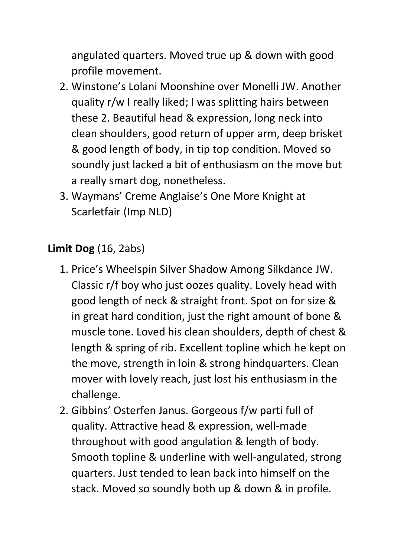angulated quarters. Moved true up & down with good profile movement.

- 2. Winstone's Lolani Moonshine over Monelli JW. Another quality r/w I really liked; I was splitting hairs between these 2. Beautiful head & expression, long neck into clean shoulders, good return of upper arm, deep brisket & good length of body, in tip top condition. Moved so soundly just lacked a bit of enthusiasm on the move but a really smart dog, nonetheless.
- 3. Waymans' Creme Anglaise's One More Knight at Scarletfair (Imp NLD)

## **Limit Dog** (16, 2abs)

- 1. Price's Wheelspin Silver Shadow Among Silkdance JW. Classic r/f boy who just oozes quality. Lovely head with good length of neck & straight front. Spot on for size & in great hard condition, just the right amount of bone & muscle tone. Loved his clean shoulders, depth of chest & length & spring of rib. Excellent topline which he kept on the move, strength in loin & strong hindquarters. Clean mover with lovely reach, just lost his enthusiasm in the challenge.
- 2. Gibbins' Osterfen Janus. Gorgeous f/w parti full of quality. Attractive head & expression, well-made throughout with good angulation & length of body. Smooth topline & underline with well-angulated, strong quarters. Just tended to lean back into himself on the stack. Moved so soundly both up & down & in profile.